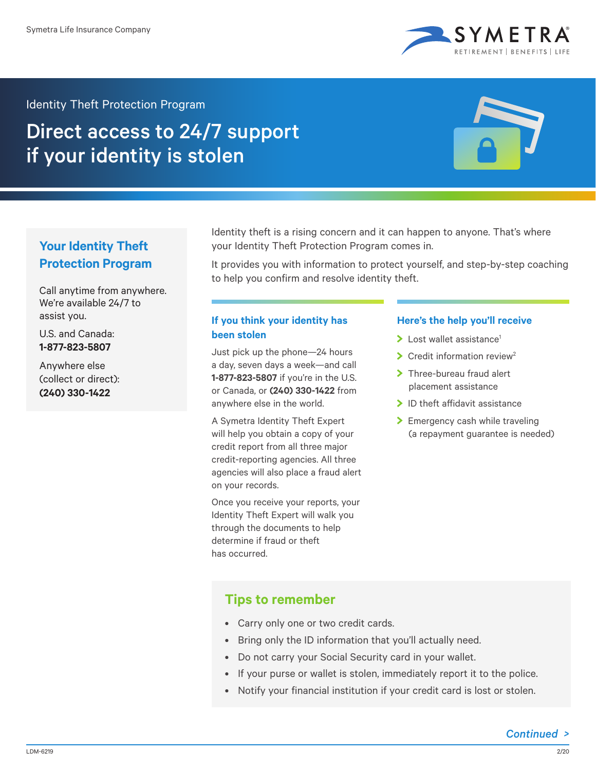

### Identity Theft Protection Program

# Direct access to 24/7 support if your identity is stolen



# **Your Identity Theft Protection Program**

Call anytime from anywhere. We're available 24/7 to assist you.

U.S. and Canada: **1-877-823-5807**

Anywhere else (collect or direct): **(240) 330-1422**

Identity theft is a rising concern and it can happen to anyone. That's where your Identity Theft Protection Program comes in.

It provides you with information to protect yourself, and step-by-step coaching to help you confirm and resolve identity theft.

## **If you think your identity has been stolen**

Just pick up the phone—24 hours a day, seven days a week—and call **1-877-823-5807** if you're in the U.S. or Canada, or **(240) 330-1422** from anywhere else in the world.

A Symetra Identity Theft Expert will help you obtain a copy of your credit report from all three major credit-reporting agencies. All three agencies will also place a fraud alert on your records.

Once you receive your reports, your Identity Theft Expert will walk you through the documents to help determine if fraud or theft has occurred.

#### **Here's the help you'll receive**

- $\blacktriangleright$  Lost wallet assistance<sup>1</sup>
- $\sum$  Credit information review<sup>2</sup>
- > Three-bureau fraud alert placement assistance
- $\blacktriangleright$  ID theft affidavit assistance
- > Emergency cash while traveling (a repayment guarantee is needed)

# **Tips to remember**

- Carry only one or two credit cards.
- Bring only the ID information that you'll actually need.
- Do not carry your Social Security card in your wallet.
- If your purse or wallet is stolen, immediately report it to the police.
- Notify your financial institution if your credit card is lost or stolen.